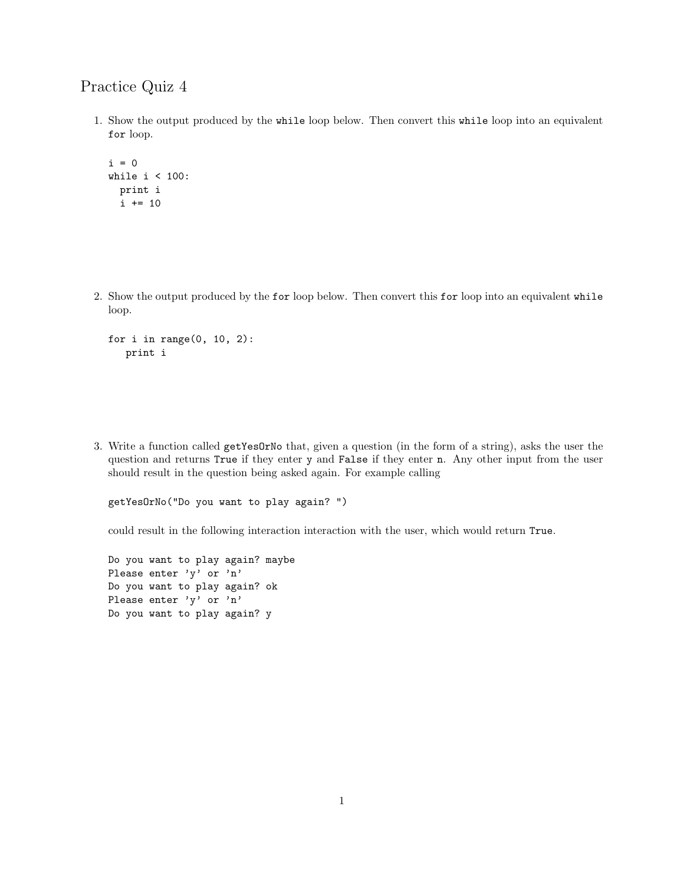## Practice Quiz 4

1. Show the output produced by the while loop below. Then convert this while loop into an equivalent for loop.

```
i = 0while i < 100:
print i
i += 10
```
2. Show the output produced by the for loop below. Then convert this for loop into an equivalent while loop.

```
for i in range(0, 10, 2):
  print i
```
3. Write a function called getYesOrNo that, given a question (in the form of a string), asks the user the question and returns True if they enter y and False if they enter n. Any other input from the user should result in the question being asked again. For example calling

getYesOrNo("Do you want to play again? ")

could result in the following interaction interaction with the user, which would return True.

Do you want to play again? maybe Please enter 'y' or 'n' Do you want to play again? ok Please enter 'y' or 'n' Do you want to play again? y